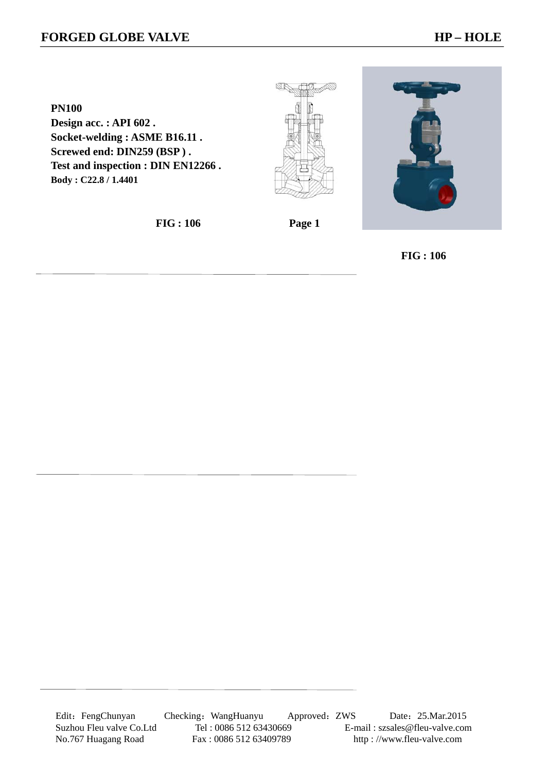## **FORGED GLOBE VALVE HP – HOLE**

**PN100 Design acc. : API 602 . Socket-welding : ASME B16.11 . Screwed end: DIN259 (BSP ) . Test and inspection : DIN EN12266 . Body : C22.8 / 1.4401** 





 **FIG : 106 Page 1** 

 **FIG : 106**